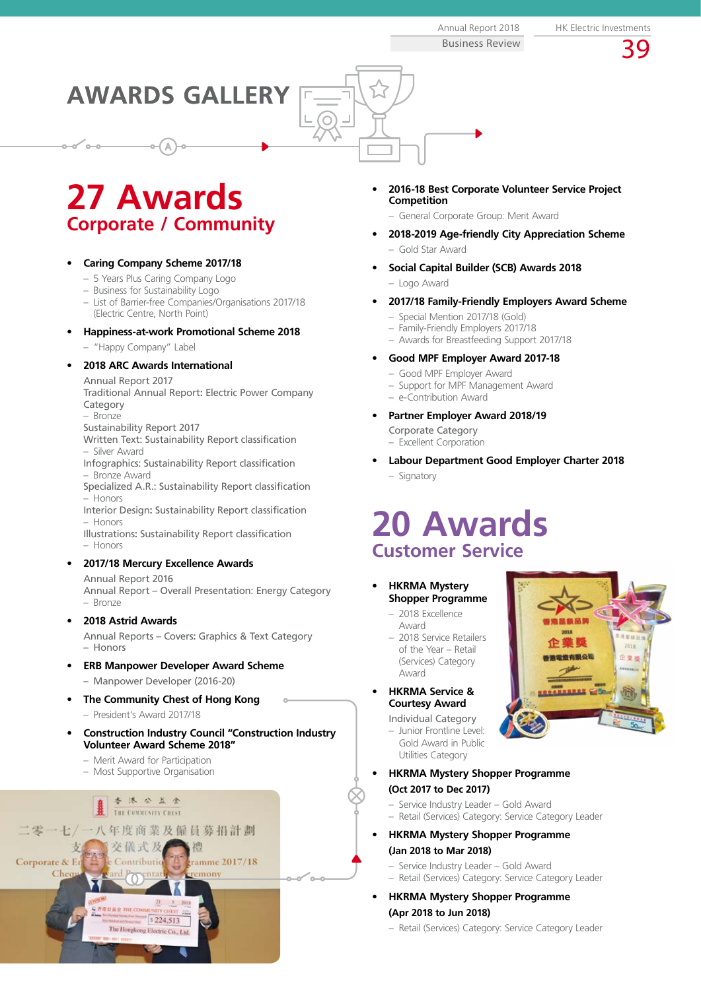Business Review

39

**AWARDS GALLERY**

 $\odot$ 

## **27 Awards Corporate / Community**

## **• Caring Company Scheme 2017/18**

- 5 Years Plus Caring Company Logo
- Business for Sustainability Logo
- List of Barrier-free Companies/Organisations 2017/18 (Electric Centre, North Point)

## **• Happiness-at-work Promotional Scheme 2018**

– "Happy Company" Label

## **• 2018 ARC Awards International**

Annual Report 2017

Traditional Annual Report**:** Electric Power Company Category

– Bronze Sustainability Report 2017

Written Text: Sustainability Report classification – Silver Award

Infographics: Sustainability Report classification – Bronze Award

Specialized A.R.: Sustainability Report classification – Honors

Interior Design**:** Sustainability Report classification – Honors

Illustrations**:** Sustainability Report classification – Honors

## **• 2017/18 Mercury Excellence Awards**

Annual Report 2016 Annual Report – Overall Presentation: Energy Category – Bronze

## **• 2018 Astrid Awards**

Annual Reports – Covers**:** Graphics & Text Category – Honors

- **• ERB Manpower Developer Award Scheme** – Manpower Developer (2016-20)
- **• The Community Chest of Hong Kong**
- President's Award 2017/18
- **• Construction Industry Council "Construction Industry Volunteer Award Scheme 2018"**
	- Merit Award for Participation
	- Most Supportive Organisation



- **• 2016-18 Best Corporate Volunteer Service Project Competition**
	- General Corporate Group: Merit Award
- **• 2018-2019 Age-friendly City Appreciation Scheme** – Gold Star Award
- **• Social Capital Builder (SCB) Awards 2018** – Logo Award
- **• 2017/18 Family-Friendly Employers Award Scheme**
	- Special Mention 2017/18 (Gold)
	- Family-Friendly Employers 2017/18
	- Awards for Breastfeeding Support 2017/18

## **• Good MPF Employer Award 2017-18**

- Good MPF Employer Award
- Support for MPF Management Award
- e-Contribution Award

## **• Partner Employer Award 2018/19**

- Corporate Category
- Excellent Corporation
- **• Labour Department Good Employer Charter 2018** – Signatory

## **20 Awards Customer Service**

- **• HKRMA Mystery Shopper Programme**
	- 2018 Excellence Award
	- 2018 Service Retailers of the Year – Retail (Services) Category Award
- **• HKRMA Service & Courtesy Award**
	- Individual Category – Junior Frontline Level:
	- Gold Award in Public Utilities Category
- **• HKRMA Mystery Shopper Programme (Oct 2017 to Dec 2017)**
	- Service Industry Leader Gold Award
	- Retail (Services) Category: Service Category Leader
- **• HKRMA Mystery Shopper Programme (Jan 2018 to Mar 2018)**
	- Service Industry Leader Gold Award – Retail (Services) Category: Service Category Leader
	- **• HKRMA Mystery Shopper Programme**

## **(Apr 2018 to Jun 2018)**

– Retail (Services) Category: Service Category Leader

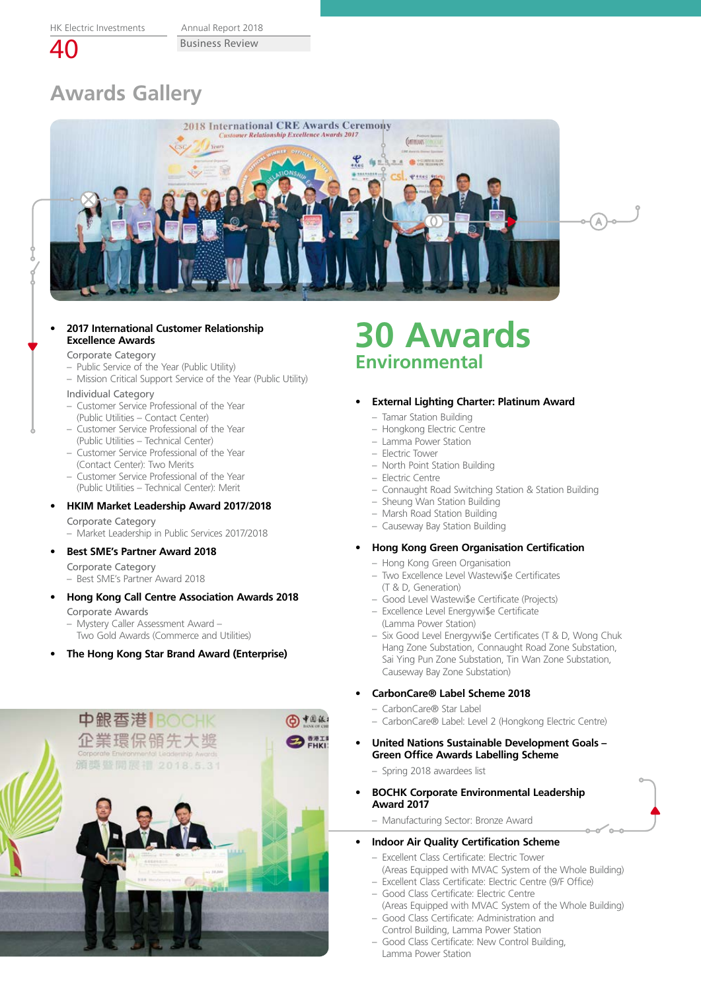Business Review Annual Report 2018

40

# **Awards Gallery**



#### **• 2017 International Customer Relationship Excellence Awards**

#### Corporate Category

- Public Service of the Year (Public Utility)
- Mission Critical Support Service of the Year (Public Utility)

#### Individual Category

- Customer Service Professional of the Year (Public Utilities – Contact Center)
- Customer Service Professional of the Year (Public Utilities – Technical Center)
- Customer Service Professional of the Year (Contact Center): Two Merits
- Customer Service Professional of the Year (Public Utilities – Technical Center): Merit

## **• HKIM Market Leadership Award 2017/2018**

Corporate Category – Market Leadership in Public Services 2017/2018

## **• Best SME's Partner Award 2018**

Corporate Category

– Best SME's Partner Award 2018

- **• Hong Kong Call Centre Association Awards 2018** Corporate Awards
	- Mystery Caller Assessment Award –
	- Two Gold Awards (Commerce and Utilities)
- **• The Hong Kong Star Brand Award (Enterprise)**



## **30 Awards Environmental**

#### **• External Lighting Charter: Platinum Award**

- Tamar Station Building
- Hongkong Electric Centre
- Lamma Power Station
- Electric Tower
- North Point Station Building
- Electric Centre
- Connaught Road Switching Station & Station Building
- Sheung Wan Station Building
- Marsh Road Station Building
- Causeway Bay Station Building

## **• Hong Kong Green Organisation Certification**

- Hong Kong Green Organisation
- Two Excellence Level Wastewi\$e Certificates (T & D, Generation)
- Good Level Wastewi\$e Certificate (Projects)
- Excellence Level Energywi\$e Certificate (Lamma Power Station)
- Six Good Level Energywi\$e Certificates (T & D, Wong Chuk Hang Zone Substation, Connaught Road Zone Substation, Sai Ying Pun Zone Substation, Tin Wan Zone Substation, Causeway Bay Zone Substation)

## **• CarbonCare® Label Scheme 2018**

- CarbonCare® Star Label
- CarbonCare® Label: Level 2 (Hongkong Electric Centre)
- **• United Nations Sustainable Development Goals Green Office Awards Labelling Scheme**
	- Spring 2018 awardees list
- **• BOCHK Corporate Environmental Leadership Award 2017**
	- Manufacturing Sector: Bronze Award

## **• Indoor Air Quality Certification Scheme**

- Excellent Class Certificate: Electric Tower (Areas Equipped with MVAC System of the Whole Building)
- Excellent Class Certificate: Electric Centre (9/F Office) – Good Class Certificate: Electric Centre
- (Areas Equipped with MVAC System of the Whole Building) – Good Class Certificate: Administration and
- Control Building, Lamma Power Station
- Good Class Certificate: New Control Building, Lamma Power Station